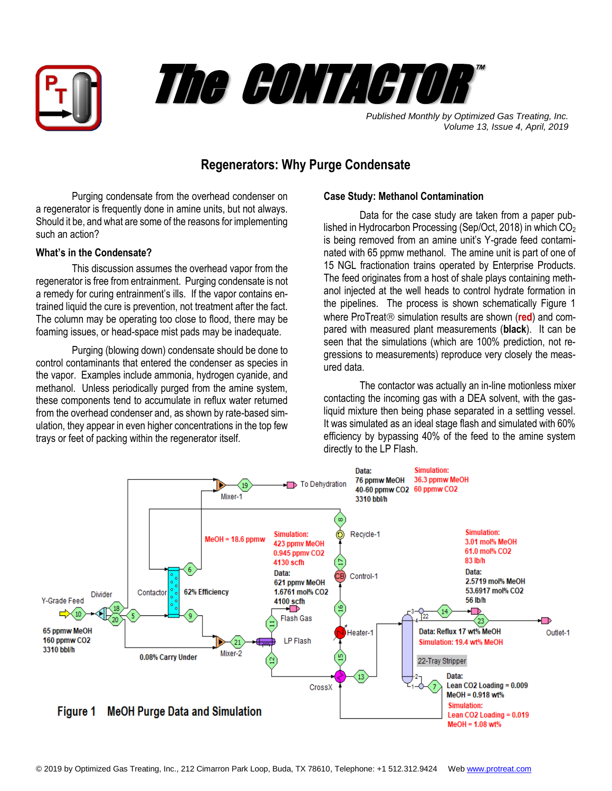



*Published Monthly by Optimized Gas Treating, Inc. Volume 13, Issue 4, April, 2019*

## **Regenerators: Why Purge Condensate**

Purging condensate from the overhead condenser on a regenerator is frequently done in amine units, but not always. Should it be, and what are some of the reasons for implementing such an action?

## **What's in the Condensate?**

This discussion assumes the overhead vapor from the regenerator is free from entrainment. Purging condensate is not a remedy for curing entrainment's ills. If the vapor contains entrained liquid the cure is prevention, not treatment after the fact. The column may be operating too close to flood, there may be foaming issues, or head-space mist pads may be inadequate.

Purging (blowing down) condensate should be done to control contaminants that entered the condenser as species in the vapor. Examples include ammonia, hydrogen cyanide, and methanol. Unless periodically purged from the amine system, these components tend to accumulate in reflux water returned from the overhead condenser and, as shown by rate-based simulation, they appear in even higher concentrations in the top few trays or feet of packing within the regenerator itself.

## **Case Study: Methanol Contamination**

Data for the case study are taken from a paper published in Hydrocarbon Processing (Sep/Oct, 2018) in which  $CO<sub>2</sub>$ is being removed from an amine unit's Y-grade feed contaminated with 65 ppmw methanol. The amine unit is part of one of 15 NGL fractionation trains operated by Enterprise Products. The feed originates from a host of shale plays containing methanol injected at the well heads to control hydrate formation in the pipelines. The process is shown schematically Figure 1 where ProTreat<sup>®</sup> simulation results are shown (red) and compared with measured plant measurements (**black**). It can be seen that the simulations (which are 100% prediction, not regressions to measurements) reproduce very closely the measured data.

The contactor was actually an in-line motionless mixer contacting the incoming gas with a DEA solvent, with the gasliquid mixture then being phase separated in a settling vessel. It was simulated as an ideal stage flash and simulated with 60% efficiency by bypassing 40% of the feed to the amine system directly to the LP Flash.